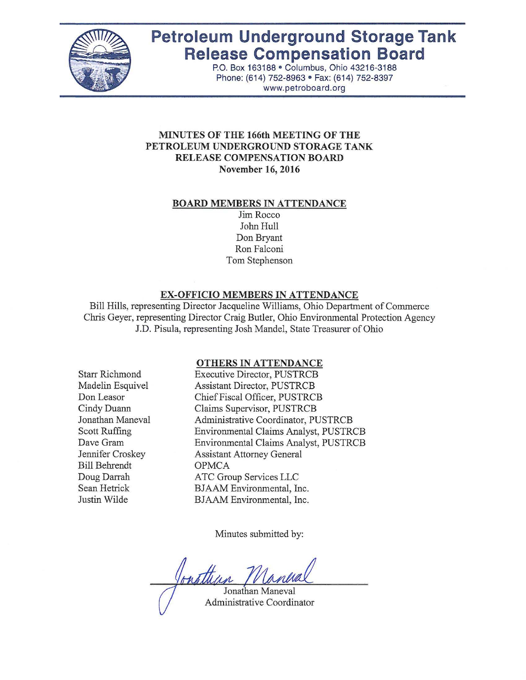

# **Petroleum Underground Storage Tank Release Compensation Board**

P.O. Box 163188 · Columbus, Ohio 43216-3188 Phone: (614) 752-8963 · Fax: (614) 752-8397 www.petroboard.org

#### **MINUTES OF THE 166th MEETING OF THE PETROLEUM UNDERGROUND STORAGE TANK RELEASE COMPENSATION BOARD November 16, 2016**

#### **BOARD MEMBERS IN ATTENDANCE**

Jim Rocco John Hull Don Bryant Ron Falconi Tom Stephenson

# **EX-OFFICIO MEMBERS IN ATTENDANCE**

Bill Hills, representing Director Jacqueline Williams, Ohio Department of Commerce Chris Geyer, representing Director Craig Butler, Ohio Environmental Protection Agency J.D. Pisula, representing Josh Mandel, State Treasurer of Ohio

#### **OTHERS IN ATTENDANCE**

Starr Richmond Madelin Esquivel Don Leasor Cindy Duann Jonathan Maneval Scott Ruffing Dave Gram Jennifer Croskey Bill Behrendt Doug Darrah Sean Hetrick Justin Wilde

Executive Director, PUSTRCB Assistant Director, PUSTRCB Chief Fiscal Officer, PUSTRCB Claims Supervisor, PUSTRCB Administrative Coordinator, PUSTRCB Environmental Claims Analyst, PUSTRCB Environmental Claims Analyst, PUSTRCB Assistant Attorney General OPMCA ATC Group Services LLC BJAAM Environmental, Inc. BJAAM Environmental, Inc.

Minutes submitted by:

Jonathun

Jonathan Maneval Administrative Coordinator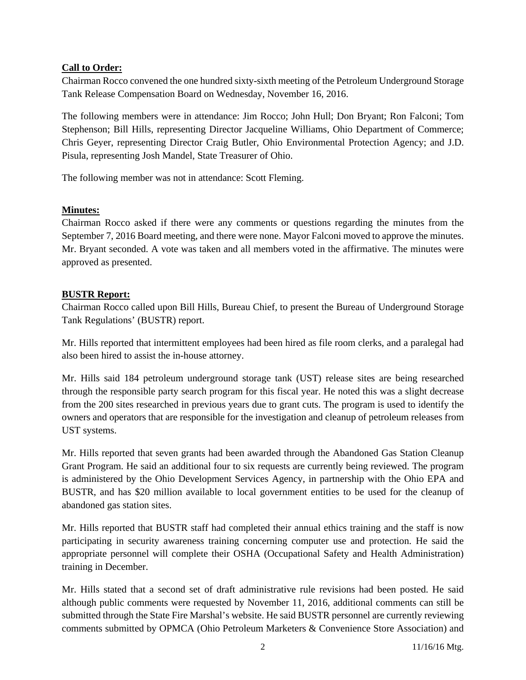# **Call to Order:**

Chairman Rocco convened the one hundred sixty-sixth meeting of the Petroleum Underground Storage Tank Release Compensation Board on Wednesday, November 16, 2016.

The following members were in attendance: Jim Rocco; John Hull; Don Bryant; Ron Falconi; Tom Stephenson; Bill Hills, representing Director Jacqueline Williams, Ohio Department of Commerce; Chris Geyer, representing Director Craig Butler, Ohio Environmental Protection Agency; and J.D. Pisula, representing Josh Mandel, State Treasurer of Ohio.

The following member was not in attendance: Scott Fleming.

# **Minutes:**

Chairman Rocco asked if there were any comments or questions regarding the minutes from the September 7, 2016 Board meeting, and there were none. Mayor Falconi moved to approve the minutes. Mr. Bryant seconded. A vote was taken and all members voted in the affirmative. The minutes were approved as presented.

# **BUSTR Report:**

Chairman Rocco called upon Bill Hills, Bureau Chief, to present the Bureau of Underground Storage Tank Regulations' (BUSTR) report.

Mr. Hills reported that intermittent employees had been hired as file room clerks, and a paralegal had also been hired to assist the in-house attorney.

Mr. Hills said 184 petroleum underground storage tank (UST) release sites are being researched through the responsible party search program for this fiscal year. He noted this was a slight decrease from the 200 sites researched in previous years due to grant cuts. The program is used to identify the owners and operators that are responsible for the investigation and cleanup of petroleum releases from UST systems.

Mr. Hills reported that seven grants had been awarded through the Abandoned Gas Station Cleanup Grant Program. He said an additional four to six requests are currently being reviewed. The program is administered by the Ohio Development Services Agency, in partnership with the Ohio EPA and BUSTR, and has \$20 million available to local government entities to be used for the cleanup of abandoned gas station sites.

Mr. Hills reported that BUSTR staff had completed their annual ethics training and the staff is now participating in security awareness training concerning computer use and protection. He said the appropriate personnel will complete their OSHA (Occupational Safety and Health Administration) training in December.

Mr. Hills stated that a second set of draft administrative rule revisions had been posted. He said although public comments were requested by November 11, 2016, additional comments can still be submitted through the State Fire Marshal's website. He said BUSTR personnel are currently reviewing comments submitted by OPMCA (Ohio Petroleum Marketers & Convenience Store Association) and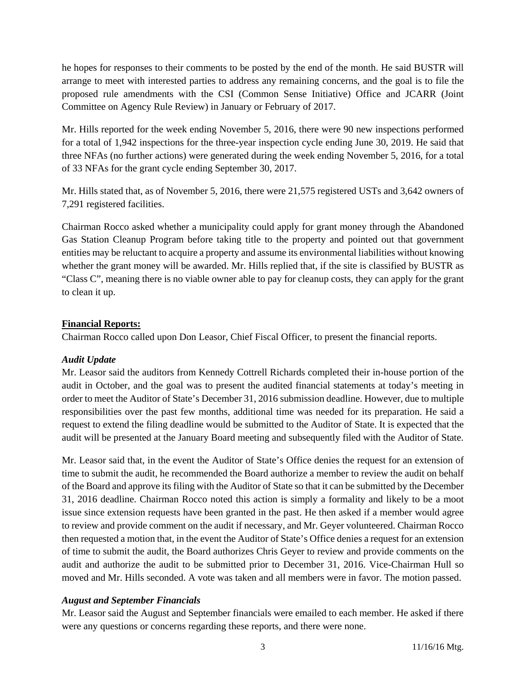he hopes for responses to their comments to be posted by the end of the month. He said BUSTR will arrange to meet with interested parties to address any remaining concerns, and the goal is to file the proposed rule amendments with the CSI (Common Sense Initiative) Office and JCARR (Joint Committee on Agency Rule Review) in January or February of 2017.

Mr. Hills reported for the week ending November 5, 2016, there were 90 new inspections performed for a total of 1,942 inspections for the three-year inspection cycle ending June 30, 2019. He said that three NFAs (no further actions) were generated during the week ending November 5, 2016, for a total of 33 NFAs for the grant cycle ending September 30, 2017.

Mr. Hills stated that, as of November 5, 2016, there were 21,575 registered USTs and 3,642 owners of 7,291 registered facilities.

Chairman Rocco asked whether a municipality could apply for grant money through the Abandoned Gas Station Cleanup Program before taking title to the property and pointed out that government entities may be reluctant to acquire a property and assume its environmental liabilities without knowing whether the grant money will be awarded. Mr. Hills replied that, if the site is classified by BUSTR as "Class C", meaning there is no viable owner able to pay for cleanup costs, they can apply for the grant to clean it up.

# **Financial Reports:**

Chairman Rocco called upon Don Leasor, Chief Fiscal Officer, to present the financial reports.

# *Audit Update*

Mr. Leasor said the auditors from Kennedy Cottrell Richards completed their in-house portion of the audit in October, and the goal was to present the audited financial statements at today's meeting in order to meet the Auditor of State's December 31, 2016 submission deadline. However, due to multiple responsibilities over the past few months, additional time was needed for its preparation. He said a request to extend the filing deadline would be submitted to the Auditor of State. It is expected that the audit will be presented at the January Board meeting and subsequently filed with the Auditor of State.

Mr. Leasor said that, in the event the Auditor of State's Office denies the request for an extension of time to submit the audit, he recommended the Board authorize a member to review the audit on behalf of the Board and approve its filing with the Auditor of State so that it can be submitted by the December 31, 2016 deadline. Chairman Rocco noted this action is simply a formality and likely to be a moot issue since extension requests have been granted in the past. He then asked if a member would agree to review and provide comment on the audit if necessary, and Mr. Geyer volunteered. Chairman Rocco then requested a motion that, in the event the Auditor of State's Office denies a request for an extension of time to submit the audit, the Board authorizes Chris Geyer to review and provide comments on the audit and authorize the audit to be submitted prior to December 31, 2016. Vice-Chairman Hull so moved and Mr. Hills seconded. A vote was taken and all members were in favor. The motion passed.

# *August and September Financials*

Mr. Leasor said the August and September financials were emailed to each member. He asked if there were any questions or concerns regarding these reports, and there were none.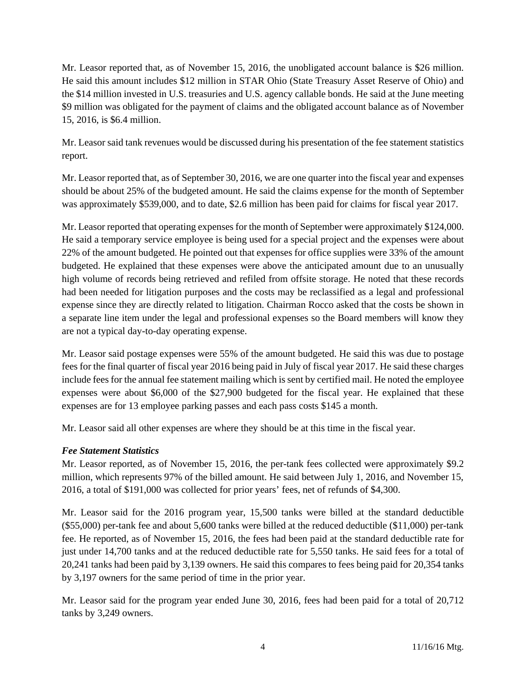Mr. Leasor reported that, as of November 15, 2016, the unobligated account balance is \$26 million. He said this amount includes \$12 million in STAR Ohio (State Treasury Asset Reserve of Ohio) and the \$14 million invested in U.S. treasuries and U.S. agency callable bonds. He said at the June meeting \$9 million was obligated for the payment of claims and the obligated account balance as of November 15, 2016, is \$6.4 million.

Mr. Leasor said tank revenues would be discussed during his presentation of the fee statement statistics report.

Mr. Leasor reported that, as of September 30, 2016, we are one quarter into the fiscal year and expenses should be about 25% of the budgeted amount. He said the claims expense for the month of September was approximately \$539,000, and to date, \$2.6 million has been paid for claims for fiscal year 2017.

Mr. Leasor reported that operating expenses for the month of September were approximately \$124,000. He said a temporary service employee is being used for a special project and the expenses were about 22% of the amount budgeted. He pointed out that expenses for office supplies were 33% of the amount budgeted. He explained that these expenses were above the anticipated amount due to an unusually high volume of records being retrieved and refiled from offsite storage. He noted that these records had been needed for litigation purposes and the costs may be reclassified as a legal and professional expense since they are directly related to litigation. Chairman Rocco asked that the costs be shown in a separate line item under the legal and professional expenses so the Board members will know they are not a typical day-to-day operating expense.

Mr. Leasor said postage expenses were 55% of the amount budgeted. He said this was due to postage fees for the final quarter of fiscal year 2016 being paid in July of fiscal year 2017. He said these charges include fees for the annual fee statement mailing which is sent by certified mail. He noted the employee expenses were about \$6,000 of the \$27,900 budgeted for the fiscal year. He explained that these expenses are for 13 employee parking passes and each pass costs \$145 a month.

Mr. Leasor said all other expenses are where they should be at this time in the fiscal year.

# *Fee Statement Statistics*

Mr. Leasor reported, as of November 15, 2016, the per-tank fees collected were approximately \$9.2 million, which represents 97% of the billed amount. He said between July 1, 2016, and November 15, 2016, a total of \$191,000 was collected for prior years' fees, net of refunds of \$4,300.

Mr. Leasor said for the 2016 program year, 15,500 tanks were billed at the standard deductible (\$55,000) per-tank fee and about 5,600 tanks were billed at the reduced deductible (\$11,000) per-tank fee. He reported, as of November 15, 2016, the fees had been paid at the standard deductible rate for just under 14,700 tanks and at the reduced deductible rate for 5,550 tanks. He said fees for a total of 20,241 tanks had been paid by 3,139 owners. He said this compares to fees being paid for 20,354 tanks by 3,197 owners for the same period of time in the prior year.

Mr. Leasor said for the program year ended June 30, 2016, fees had been paid for a total of 20,712 tanks by 3,249 owners.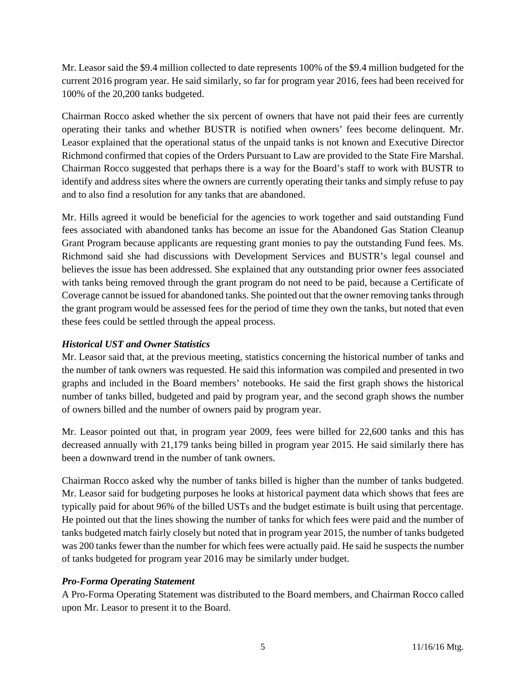Mr. Leasor said the \$9.4 million collected to date represents 100% of the \$9.4 million budgeted for the current 2016 program year. He said similarly, so far for program year 2016, fees had been received for 100% of the 20,200 tanks budgeted.

Chairman Rocco asked whether the six percent of owners that have not paid their fees are currently operating their tanks and whether BUSTR is notified when owners' fees become delinquent. Mr. Leasor explained that the operational status of the unpaid tanks is not known and Executive Director Richmond confirmed that copies of the Orders Pursuant to Law are provided to the State Fire Marshal. Chairman Rocco suggested that perhaps there is a way for the Board's staff to work with BUSTR to identify and address sites where the owners are currently operating their tanks and simply refuse to pay and to also find a resolution for any tanks that are abandoned.

Mr. Hills agreed it would be beneficial for the agencies to work together and said outstanding Fund fees associated with abandoned tanks has become an issue for the Abandoned Gas Station Cleanup Grant Program because applicants are requesting grant monies to pay the outstanding Fund fees. Ms. Richmond said she had discussions with Development Services and BUSTR's legal counsel and believes the issue has been addressed. She explained that any outstanding prior owner fees associated with tanks being removed through the grant program do not need to be paid, because a Certificate of Coverage cannot be issued for abandoned tanks. She pointed out that the owner removing tanks through the grant program would be assessed fees for the period of time they own the tanks, but noted that even these fees could be settled through the appeal process.

# *Historical UST and Owner Statistics*

Mr. Leasor said that, at the previous meeting, statistics concerning the historical number of tanks and the number of tank owners was requested. He said this information was compiled and presented in two graphs and included in the Board members' notebooks. He said the first graph shows the historical number of tanks billed, budgeted and paid by program year, and the second graph shows the number of owners billed and the number of owners paid by program year.

Mr. Leasor pointed out that, in program year 2009, fees were billed for 22,600 tanks and this has decreased annually with 21,179 tanks being billed in program year 2015. He said similarly there has been a downward trend in the number of tank owners.

Chairman Rocco asked why the number of tanks billed is higher than the number of tanks budgeted. Mr. Leasor said for budgeting purposes he looks at historical payment data which shows that fees are typically paid for about 96% of the billed USTs and the budget estimate is built using that percentage. He pointed out that the lines showing the number of tanks for which fees were paid and the number of tanks budgeted match fairly closely but noted that in program year 2015, the number of tanks budgeted was 200 tanks fewer than the number for which fees were actually paid. He said he suspects the number of tanks budgeted for program year 2016 may be similarly under budget.

#### *Pro-Forma Operating Statement*

A Pro-Forma Operating Statement was distributed to the Board members, and Chairman Rocco called upon Mr. Leasor to present it to the Board.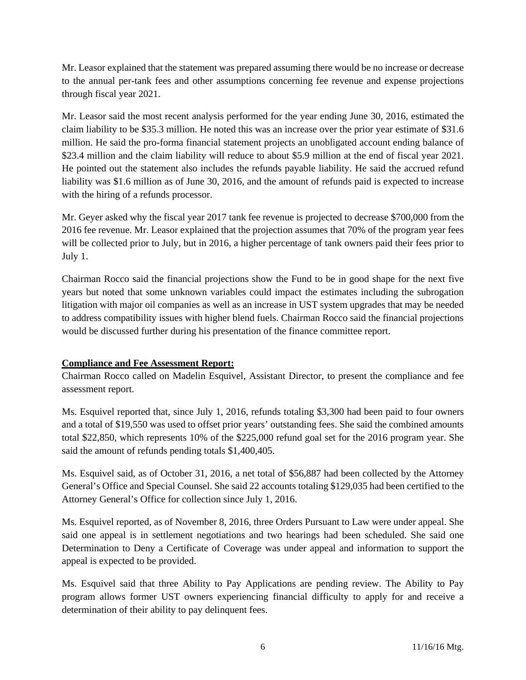Mr. Leasor explained that the statement was prepared assuming there would be no increase or decrease to the annual per-tank fees and other assumptions concerning fee revenue and expense projections through fiscal year 2021.

Mr. Leasor said the most recent analysis performed for the year ending June 30, 2016, estimated the claim liability to be \$35.3 million. He noted this was an increase over the prior year estimate of \$31.6 million. He said the pro-forma financial statement projects an unobligated account ending balance of \$23.4 million and the claim liability will reduce to about \$5.9 million at the end of fiscal year 2021. He pointed out the statement also includes the refunds payable liability. He said the accrued refund liability was \$1.6 million as of June 30, 2016, and the amount of refunds paid is expected to increase with the hiring of a refunds processor.

Mr. Geyer asked why the fiscal year 2017 tank fee revenue is projected to decrease \$700,000 from the 2016 fee revenue. Mr. Leasor explained that the projection assumes that 70% of the program year fees will be collected prior to July, but in 2016, a higher percentage of tank owners paid their fees prior to July 1.

Chairman Rocco said the financial projections show the Fund to be in good shape for the next five years but noted that some unknown variables could impact the estimates including the subrogation litigation with major oil companies as well as an increase in UST system upgrades that may be needed to address compatibility issues with higher blend fuels. Chairman Rocco said the financial projections would be discussed further during his presentation of the finance committee report.

# **Compliance and Fee Assessment Report:**

Chairman Rocco called on Madelin Esquivel, Assistant Director, to present the compliance and fee assessment report.

Ms. Esquivel reported that, since July 1, 2016, refunds totaling \$3,300 had been paid to four owners and a total of \$19,550 was used to offset prior years' outstanding fees. She said the combined amounts total \$22,850, which represents 10% of the \$225,000 refund goal set for the 2016 program year. She said the amount of refunds pending totals \$1,400,405.

Ms. Esquivel said, as of October 31, 2016, a net total of \$56,887 had been collected by the Attorney General's Office and Special Counsel. She said 22 accounts totaling \$129,035 had been certified to the Attorney General's Office for collection since July 1, 2016.

Ms. Esquivel reported, as of November 8, 2016, three Orders Pursuant to Law were under appeal. She said one appeal is in settlement negotiations and two hearings had been scheduled. She said one Determination to Deny a Certificate of Coverage was under appeal and information to support the appeal is expected to be provided.

Ms. Esquivel said that three Ability to Pay Applications are pending review. The Ability to Pay program allows former UST owners experiencing financial difficulty to apply for and receive a determination of their ability to pay delinquent fees.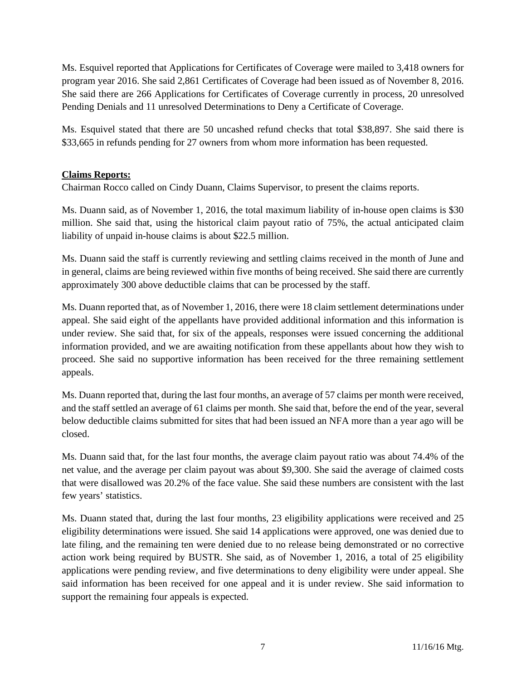Ms. Esquivel reported that Applications for Certificates of Coverage were mailed to 3,418 owners for program year 2016. She said 2,861 Certificates of Coverage had been issued as of November 8, 2016. She said there are 266 Applications for Certificates of Coverage currently in process, 20 unresolved Pending Denials and 11 unresolved Determinations to Deny a Certificate of Coverage.

Ms. Esquivel stated that there are 50 uncashed refund checks that total \$38,897. She said there is \$33,665 in refunds pending for 27 owners from whom more information has been requested.

# **Claims Reports:**

Chairman Rocco called on Cindy Duann, Claims Supervisor, to present the claims reports.

Ms. Duann said, as of November 1, 2016, the total maximum liability of in-house open claims is \$30 million. She said that, using the historical claim payout ratio of 75%, the actual anticipated claim liability of unpaid in-house claims is about \$22.5 million.

Ms. Duann said the staff is currently reviewing and settling claims received in the month of June and in general, claims are being reviewed within five months of being received. She said there are currently approximately 300 above deductible claims that can be processed by the staff.

Ms. Duann reported that, as of November 1, 2016, there were 18 claim settlement determinations under appeal. She said eight of the appellants have provided additional information and this information is under review. She said that, for six of the appeals, responses were issued concerning the additional information provided, and we are awaiting notification from these appellants about how they wish to proceed. She said no supportive information has been received for the three remaining settlement appeals.

Ms. Duann reported that, during the last four months, an average of 57 claims per month were received, and the staff settled an average of 61 claims per month. She said that, before the end of the year, several below deductible claims submitted for sites that had been issued an NFA more than a year ago will be closed.

Ms. Duann said that, for the last four months, the average claim payout ratio was about 74.4% of the net value, and the average per claim payout was about \$9,300. She said the average of claimed costs that were disallowed was 20.2% of the face value. She said these numbers are consistent with the last few years' statistics.

Ms. Duann stated that, during the last four months, 23 eligibility applications were received and 25 eligibility determinations were issued. She said 14 applications were approved, one was denied due to late filing, and the remaining ten were denied due to no release being demonstrated or no corrective action work being required by BUSTR. She said, as of November 1, 2016, a total of 25 eligibility applications were pending review, and five determinations to deny eligibility were under appeal. She said information has been received for one appeal and it is under review. She said information to support the remaining four appeals is expected.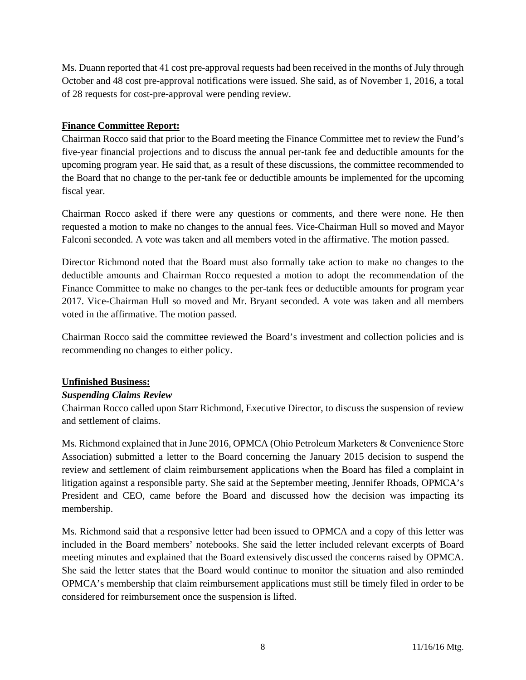Ms. Duann reported that 41 cost pre-approval requests had been received in the months of July through October and 48 cost pre-approval notifications were issued. She said, as of November 1, 2016, a total of 28 requests for cost-pre-approval were pending review.

# **Finance Committee Report:**

Chairman Rocco said that prior to the Board meeting the Finance Committee met to review the Fund's five-year financial projections and to discuss the annual per-tank fee and deductible amounts for the upcoming program year. He said that, as a result of these discussions, the committee recommended to the Board that no change to the per-tank fee or deductible amounts be implemented for the upcoming fiscal year.

Chairman Rocco asked if there were any questions or comments, and there were none. He then requested a motion to make no changes to the annual fees. Vice-Chairman Hull so moved and Mayor Falconi seconded. A vote was taken and all members voted in the affirmative. The motion passed.

Director Richmond noted that the Board must also formally take action to make no changes to the deductible amounts and Chairman Rocco requested a motion to adopt the recommendation of the Finance Committee to make no changes to the per-tank fees or deductible amounts for program year 2017. Vice-Chairman Hull so moved and Mr. Bryant seconded. A vote was taken and all members voted in the affirmative. The motion passed.

Chairman Rocco said the committee reviewed the Board's investment and collection policies and is recommending no changes to either policy.

#### **Unfinished Business:**

#### *Suspending Claims Review*

Chairman Rocco called upon Starr Richmond, Executive Director, to discuss the suspension of review and settlement of claims.

Ms. Richmond explained that in June 2016, OPMCA (Ohio Petroleum Marketers & Convenience Store Association) submitted a letter to the Board concerning the January 2015 decision to suspend the review and settlement of claim reimbursement applications when the Board has filed a complaint in litigation against a responsible party. She said at the September meeting, Jennifer Rhoads, OPMCA's President and CEO, came before the Board and discussed how the decision was impacting its membership.

Ms. Richmond said that a responsive letter had been issued to OPMCA and a copy of this letter was included in the Board members' notebooks. She said the letter included relevant excerpts of Board meeting minutes and explained that the Board extensively discussed the concerns raised by OPMCA. She said the letter states that the Board would continue to monitor the situation and also reminded OPMCA's membership that claim reimbursement applications must still be timely filed in order to be considered for reimbursement once the suspension is lifted.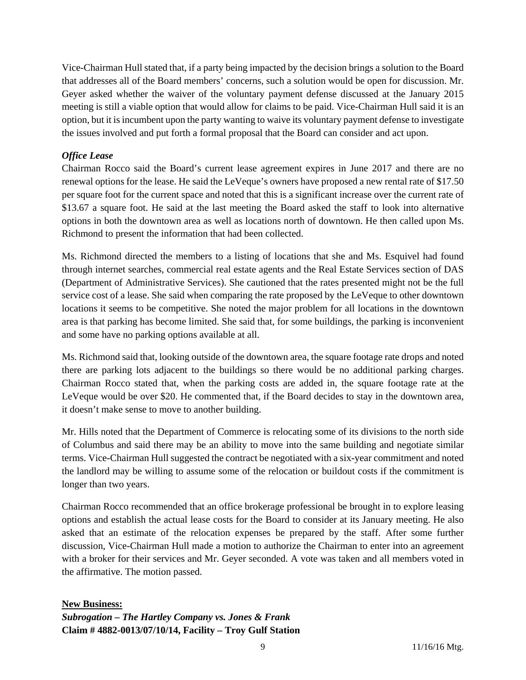Vice-Chairman Hull stated that, if a party being impacted by the decision brings a solution to the Board that addresses all of the Board members' concerns, such a solution would be open for discussion. Mr. Geyer asked whether the waiver of the voluntary payment defense discussed at the January 2015 meeting is still a viable option that would allow for claims to be paid. Vice-Chairman Hull said it is an option, but it is incumbent upon the party wanting to waive its voluntary payment defense to investigate the issues involved and put forth a formal proposal that the Board can consider and act upon.

# *Office Lease*

Chairman Rocco said the Board's current lease agreement expires in June 2017 and there are no renewal options for the lease. He said the LeVeque's owners have proposed a new rental rate of \$17.50 per square foot for the current space and noted that this is a significant increase over the current rate of \$13.67 a square foot. He said at the last meeting the Board asked the staff to look into alternative options in both the downtown area as well as locations north of downtown. He then called upon Ms. Richmond to present the information that had been collected.

Ms. Richmond directed the members to a listing of locations that she and Ms. Esquivel had found through internet searches, commercial real estate agents and the Real Estate Services section of DAS (Department of Administrative Services). She cautioned that the rates presented might not be the full service cost of a lease. She said when comparing the rate proposed by the LeVeque to other downtown locations it seems to be competitive. She noted the major problem for all locations in the downtown area is that parking has become limited. She said that, for some buildings, the parking is inconvenient and some have no parking options available at all.

Ms. Richmond said that, looking outside of the downtown area, the square footage rate drops and noted there are parking lots adjacent to the buildings so there would be no additional parking charges. Chairman Rocco stated that, when the parking costs are added in, the square footage rate at the LeVeque would be over \$20. He commented that, if the Board decides to stay in the downtown area, it doesn't make sense to move to another building.

Mr. Hills noted that the Department of Commerce is relocating some of its divisions to the north side of Columbus and said there may be an ability to move into the same building and negotiate similar terms. Vice-Chairman Hull suggested the contract be negotiated with a six-year commitment and noted the landlord may be willing to assume some of the relocation or buildout costs if the commitment is longer than two years.

Chairman Rocco recommended that an office brokerage professional be brought in to explore leasing options and establish the actual lease costs for the Board to consider at its January meeting. He also asked that an estimate of the relocation expenses be prepared by the staff. After some further discussion, Vice-Chairman Hull made a motion to authorize the Chairman to enter into an agreement with a broker for their services and Mr. Geyer seconded. A vote was taken and all members voted in the affirmative. The motion passed.

#### **New Business:**

*Subrogation – The Hartley Company vs. Jones & Frank*  **Claim # 4882-0013/07/10/14, Facility – Troy Gulf Station**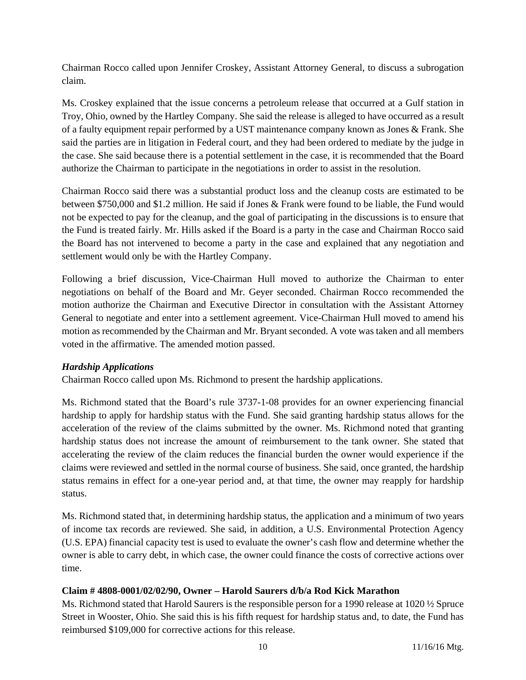Chairman Rocco called upon Jennifer Croskey, Assistant Attorney General, to discuss a subrogation claim.

Ms. Croskey explained that the issue concerns a petroleum release that occurred at a Gulf station in Troy, Ohio, owned by the Hartley Company. She said the release is alleged to have occurred as a result of a faulty equipment repair performed by a UST maintenance company known as Jones & Frank. She said the parties are in litigation in Federal court, and they had been ordered to mediate by the judge in the case. She said because there is a potential settlement in the case, it is recommended that the Board authorize the Chairman to participate in the negotiations in order to assist in the resolution.

Chairman Rocco said there was a substantial product loss and the cleanup costs are estimated to be between \$750,000 and \$1.2 million. He said if Jones & Frank were found to be liable, the Fund would not be expected to pay for the cleanup, and the goal of participating in the discussions is to ensure that the Fund is treated fairly. Mr. Hills asked if the Board is a party in the case and Chairman Rocco said the Board has not intervened to become a party in the case and explained that any negotiation and settlement would only be with the Hartley Company.

Following a brief discussion, Vice-Chairman Hull moved to authorize the Chairman to enter negotiations on behalf of the Board and Mr. Geyer seconded. Chairman Rocco recommended the motion authorize the Chairman and Executive Director in consultation with the Assistant Attorney General to negotiate and enter into a settlement agreement. Vice-Chairman Hull moved to amend his motion as recommended by the Chairman and Mr. Bryant seconded. A vote was taken and all members voted in the affirmative. The amended motion passed.

#### *Hardship Applications*

Chairman Rocco called upon Ms. Richmond to present the hardship applications.

Ms. Richmond stated that the Board's rule 3737-1-08 provides for an owner experiencing financial hardship to apply for hardship status with the Fund. She said granting hardship status allows for the acceleration of the review of the claims submitted by the owner. Ms. Richmond noted that granting hardship status does not increase the amount of reimbursement to the tank owner. She stated that accelerating the review of the claim reduces the financial burden the owner would experience if the claims were reviewed and settled in the normal course of business. She said, once granted, the hardship status remains in effect for a one-year period and, at that time, the owner may reapply for hardship status.

Ms. Richmond stated that, in determining hardship status, the application and a minimum of two years of income tax records are reviewed. She said, in addition, a U.S. Environmental Protection Agency (U.S. EPA) financial capacity test is used to evaluate the owner's cash flow and determine whether the owner is able to carry debt, in which case, the owner could finance the costs of corrective actions over time.

#### **Claim # 4808-0001/02/02/90, Owner – Harold Saurers d/b/a Rod Kick Marathon**

Ms. Richmond stated that Harold Saurers is the responsible person for a 1990 release at 1020 ½ Spruce Street in Wooster, Ohio. She said this is his fifth request for hardship status and, to date, the Fund has reimbursed \$109,000 for corrective actions for this release.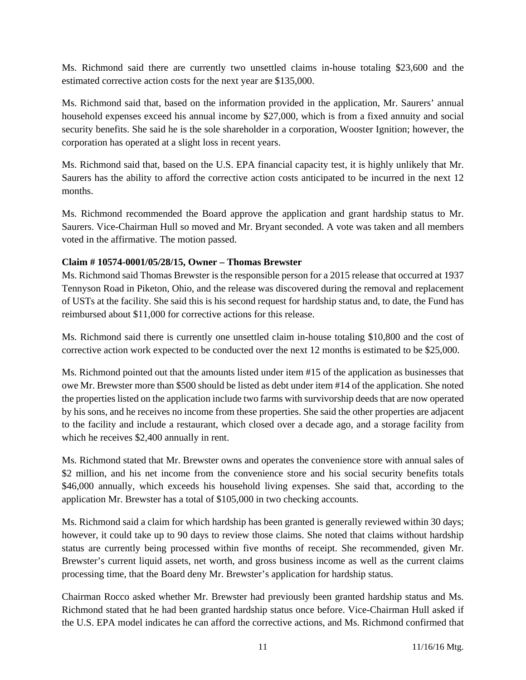Ms. Richmond said there are currently two unsettled claims in-house totaling \$23,600 and the estimated corrective action costs for the next year are \$135,000.

Ms. Richmond said that, based on the information provided in the application, Mr. Saurers' annual household expenses exceed his annual income by \$27,000, which is from a fixed annuity and social security benefits. She said he is the sole shareholder in a corporation, Wooster Ignition; however, the corporation has operated at a slight loss in recent years.

Ms. Richmond said that, based on the U.S. EPA financial capacity test, it is highly unlikely that Mr. Saurers has the ability to afford the corrective action costs anticipated to be incurred in the next 12 months.

Ms. Richmond recommended the Board approve the application and grant hardship status to Mr. Saurers. Vice-Chairman Hull so moved and Mr. Bryant seconded. A vote was taken and all members voted in the affirmative. The motion passed.

#### **Claim # 10574-0001/05/28/15, Owner – Thomas Brewster**

Ms. Richmond said Thomas Brewster is the responsible person for a 2015 release that occurred at 1937 Tennyson Road in Piketon, Ohio, and the release was discovered during the removal and replacement of USTs at the facility. She said this is his second request for hardship status and, to date, the Fund has reimbursed about \$11,000 for corrective actions for this release.

Ms. Richmond said there is currently one unsettled claim in-house totaling \$10,800 and the cost of corrective action work expected to be conducted over the next 12 months is estimated to be \$25,000.

Ms. Richmond pointed out that the amounts listed under item #15 of the application as businesses that owe Mr. Brewster more than \$500 should be listed as debt under item #14 of the application. She noted the properties listed on the application include two farms with survivorship deeds that are now operated by his sons, and he receives no income from these properties. She said the other properties are adjacent to the facility and include a restaurant, which closed over a decade ago, and a storage facility from which he receives \$2,400 annually in rent.

Ms. Richmond stated that Mr. Brewster owns and operates the convenience store with annual sales of \$2 million, and his net income from the convenience store and his social security benefits totals \$46,000 annually, which exceeds his household living expenses. She said that, according to the application Mr. Brewster has a total of \$105,000 in two checking accounts.

Ms. Richmond said a claim for which hardship has been granted is generally reviewed within 30 days; however, it could take up to 90 days to review those claims. She noted that claims without hardship status are currently being processed within five months of receipt. She recommended, given Mr. Brewster's current liquid assets, net worth, and gross business income as well as the current claims processing time, that the Board deny Mr. Brewster's application for hardship status.

Chairman Rocco asked whether Mr. Brewster had previously been granted hardship status and Ms. Richmond stated that he had been granted hardship status once before. Vice-Chairman Hull asked if the U.S. EPA model indicates he can afford the corrective actions, and Ms. Richmond confirmed that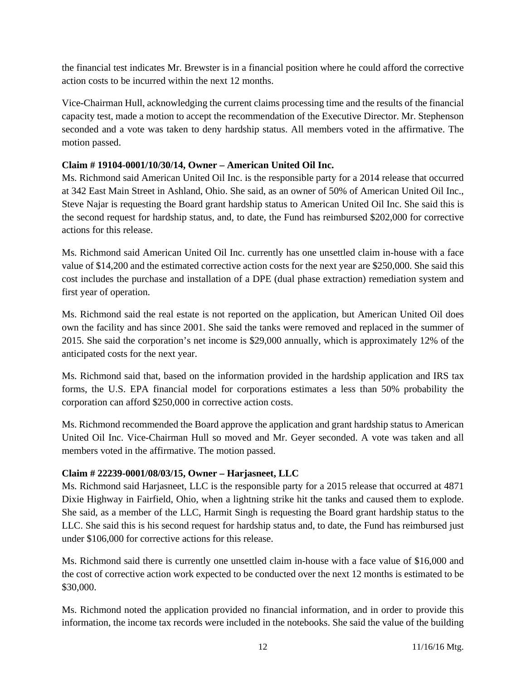the financial test indicates Mr. Brewster is in a financial position where he could afford the corrective action costs to be incurred within the next 12 months.

Vice-Chairman Hull, acknowledging the current claims processing time and the results of the financial capacity test, made a motion to accept the recommendation of the Executive Director. Mr. Stephenson seconded and a vote was taken to deny hardship status. All members voted in the affirmative. The motion passed.

### **Claim # 19104-0001/10/30/14, Owner – American United Oil Inc.**

Ms. Richmond said American United Oil Inc. is the responsible party for a 2014 release that occurred at 342 East Main Street in Ashland, Ohio. She said, as an owner of 50% of American United Oil Inc., Steve Najar is requesting the Board grant hardship status to American United Oil Inc. She said this is the second request for hardship status, and, to date, the Fund has reimbursed \$202,000 for corrective actions for this release.

Ms. Richmond said American United Oil Inc. currently has one unsettled claim in-house with a face value of \$14,200 and the estimated corrective action costs for the next year are \$250,000. She said this cost includes the purchase and installation of a DPE (dual phase extraction) remediation system and first year of operation.

Ms. Richmond said the real estate is not reported on the application, but American United Oil does own the facility and has since 2001. She said the tanks were removed and replaced in the summer of 2015. She said the corporation's net income is \$29,000 annually, which is approximately 12% of the anticipated costs for the next year.

Ms. Richmond said that, based on the information provided in the hardship application and IRS tax forms, the U.S. EPA financial model for corporations estimates a less than 50% probability the corporation can afford \$250,000 in corrective action costs.

Ms. Richmond recommended the Board approve the application and grant hardship status to American United Oil Inc. Vice-Chairman Hull so moved and Mr. Geyer seconded. A vote was taken and all members voted in the affirmative. The motion passed.

#### **Claim # 22239-0001/08/03/15, Owner – Harjasneet, LLC**

Ms. Richmond said Harjasneet, LLC is the responsible party for a 2015 release that occurred at 4871 Dixie Highway in Fairfield, Ohio, when a lightning strike hit the tanks and caused them to explode. She said, as a member of the LLC, Harmit Singh is requesting the Board grant hardship status to the LLC. She said this is his second request for hardship status and, to date, the Fund has reimbursed just under \$106,000 for corrective actions for this release.

Ms. Richmond said there is currently one unsettled claim in-house with a face value of \$16,000 and the cost of corrective action work expected to be conducted over the next 12 months is estimated to be \$30,000.

Ms. Richmond noted the application provided no financial information, and in order to provide this information, the income tax records were included in the notebooks. She said the value of the building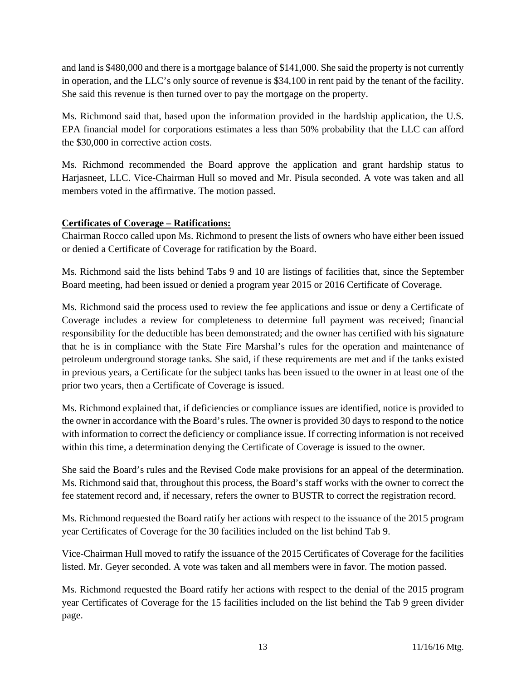and land is \$480,000 and there is a mortgage balance of \$141,000. She said the property is not currently in operation, and the LLC's only source of revenue is \$34,100 in rent paid by the tenant of the facility. She said this revenue is then turned over to pay the mortgage on the property.

Ms. Richmond said that, based upon the information provided in the hardship application, the U.S. EPA financial model for corporations estimates a less than 50% probability that the LLC can afford the \$30,000 in corrective action costs.

Ms. Richmond recommended the Board approve the application and grant hardship status to Harjasneet, LLC. Vice-Chairman Hull so moved and Mr. Pisula seconded. A vote was taken and all members voted in the affirmative. The motion passed.

# **Certificates of Coverage – Ratifications:**

Chairman Rocco called upon Ms. Richmond to present the lists of owners who have either been issued or denied a Certificate of Coverage for ratification by the Board.

Ms. Richmond said the lists behind Tabs 9 and 10 are listings of facilities that, since the September Board meeting, had been issued or denied a program year 2015 or 2016 Certificate of Coverage.

Ms. Richmond said the process used to review the fee applications and issue or deny a Certificate of Coverage includes a review for completeness to determine full payment was received; financial responsibility for the deductible has been demonstrated; and the owner has certified with his signature that he is in compliance with the State Fire Marshal's rules for the operation and maintenance of petroleum underground storage tanks. She said, if these requirements are met and if the tanks existed in previous years, a Certificate for the subject tanks has been issued to the owner in at least one of the prior two years, then a Certificate of Coverage is issued.

Ms. Richmond explained that, if deficiencies or compliance issues are identified, notice is provided to the owner in accordance with the Board's rules. The owner is provided 30 days to respond to the notice with information to correct the deficiency or compliance issue. If correcting information is not received within this time, a determination denying the Certificate of Coverage is issued to the owner.

She said the Board's rules and the Revised Code make provisions for an appeal of the determination. Ms. Richmond said that, throughout this process, the Board's staff works with the owner to correct the fee statement record and, if necessary, refers the owner to BUSTR to correct the registration record.

Ms. Richmond requested the Board ratify her actions with respect to the issuance of the 2015 program year Certificates of Coverage for the 30 facilities included on the list behind Tab 9.

Vice-Chairman Hull moved to ratify the issuance of the 2015 Certificates of Coverage for the facilities listed. Mr. Geyer seconded. A vote was taken and all members were in favor. The motion passed.

Ms. Richmond requested the Board ratify her actions with respect to the denial of the 2015 program year Certificates of Coverage for the 15 facilities included on the list behind the Tab 9 green divider page.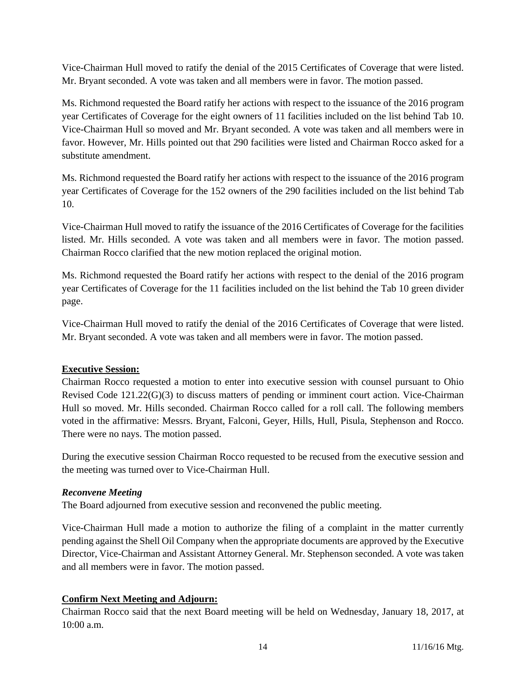Vice-Chairman Hull moved to ratify the denial of the 2015 Certificates of Coverage that were listed. Mr. Bryant seconded. A vote was taken and all members were in favor. The motion passed.

Ms. Richmond requested the Board ratify her actions with respect to the issuance of the 2016 program year Certificates of Coverage for the eight owners of 11 facilities included on the list behind Tab 10. Vice-Chairman Hull so moved and Mr. Bryant seconded. A vote was taken and all members were in favor. However, Mr. Hills pointed out that 290 facilities were listed and Chairman Rocco asked for a substitute amendment.

Ms. Richmond requested the Board ratify her actions with respect to the issuance of the 2016 program year Certificates of Coverage for the 152 owners of the 290 facilities included on the list behind Tab 10.

Vice-Chairman Hull moved to ratify the issuance of the 2016 Certificates of Coverage for the facilities listed. Mr. Hills seconded. A vote was taken and all members were in favor. The motion passed. Chairman Rocco clarified that the new motion replaced the original motion.

Ms. Richmond requested the Board ratify her actions with respect to the denial of the 2016 program year Certificates of Coverage for the 11 facilities included on the list behind the Tab 10 green divider page.

Vice-Chairman Hull moved to ratify the denial of the 2016 Certificates of Coverage that were listed. Mr. Bryant seconded. A vote was taken and all members were in favor. The motion passed.

#### **Executive Session:**

Chairman Rocco requested a motion to enter into executive session with counsel pursuant to Ohio Revised Code 121.22(G)(3) to discuss matters of pending or imminent court action. Vice-Chairman Hull so moved. Mr. Hills seconded. Chairman Rocco called for a roll call. The following members voted in the affirmative: Messrs. Bryant, Falconi, Geyer, Hills, Hull, Pisula, Stephenson and Rocco. There were no nays. The motion passed.

During the executive session Chairman Rocco requested to be recused from the executive session and the meeting was turned over to Vice-Chairman Hull.

#### *Reconvene Meeting*

The Board adjourned from executive session and reconvened the public meeting.

Vice-Chairman Hull made a motion to authorize the filing of a complaint in the matter currently pending against the Shell Oil Company when the appropriate documents are approved by the Executive Director, Vice-Chairman and Assistant Attorney General. Mr. Stephenson seconded. A vote was taken and all members were in favor. The motion passed.

# **Confirm Next Meeting and Adjourn:**

Chairman Rocco said that the next Board meeting will be held on Wednesday, January 18, 2017, at 10:00 a.m.